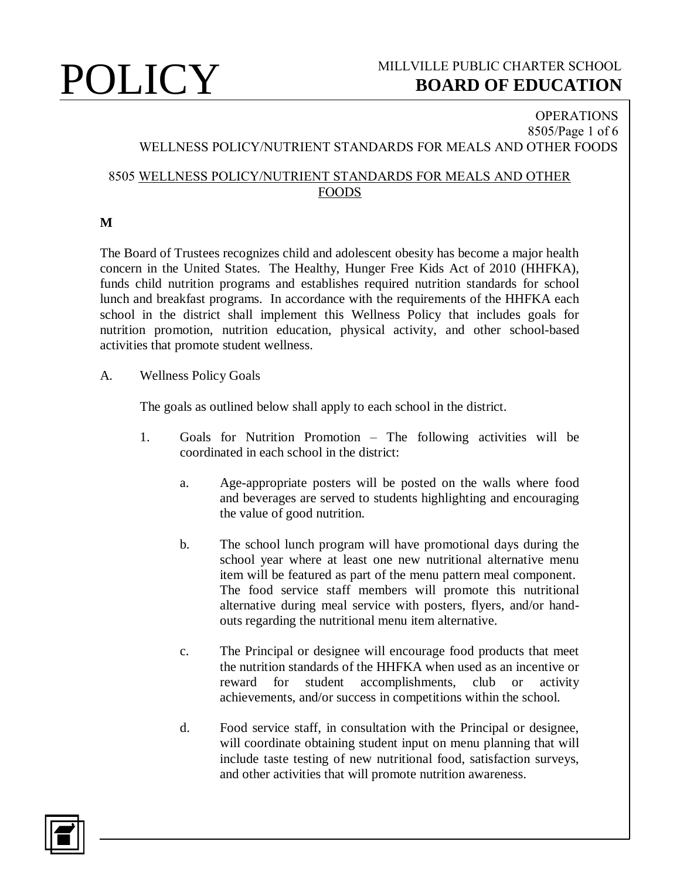

## **OPERATIONS** 8505/Page 1 of 6 WELLNESS POLICY/NUTRIENT STANDARDS FOR MEALS AND OTHER FOODS

## 8505 WELLNESS POLICY/NUTRIENT STANDARDS FOR MEALS AND OTHER FOODS

**M**

The Board of Trustees recognizes child and adolescent obesity has become a major health concern in the United States. The Healthy, Hunger Free Kids Act of 2010 (HHFKA), funds child nutrition programs and establishes required nutrition standards for school lunch and breakfast programs. In accordance with the requirements of the HHFKA each school in the district shall implement this Wellness Policy that includes goals for nutrition promotion, nutrition education, physical activity, and other school-based activities that promote student wellness.

A. Wellness Policy Goals

The goals as outlined below shall apply to each school in the district.

- 1. Goals for Nutrition Promotion The following activities will be coordinated in each school in the district:
	- a. Age-appropriate posters will be posted on the walls where food and beverages are served to students highlighting and encouraging the value of good nutrition.
	- b. The school lunch program will have promotional days during the school year where at least one new nutritional alternative menu item will be featured as part of the menu pattern meal component. The food service staff members will promote this nutritional alternative during meal service with posters, flyers, and/or handouts regarding the nutritional menu item alternative.
	- c. The Principal or designee will encourage food products that meet the nutrition standards of the HHFKA when used as an incentive or reward for student accomplishments, club or activity achievements, and/or success in competitions within the school.
	- d. Food service staff, in consultation with the Principal or designee, will coordinate obtaining student input on menu planning that will include taste testing of new nutritional food, satisfaction surveys, and other activities that will promote nutrition awareness.

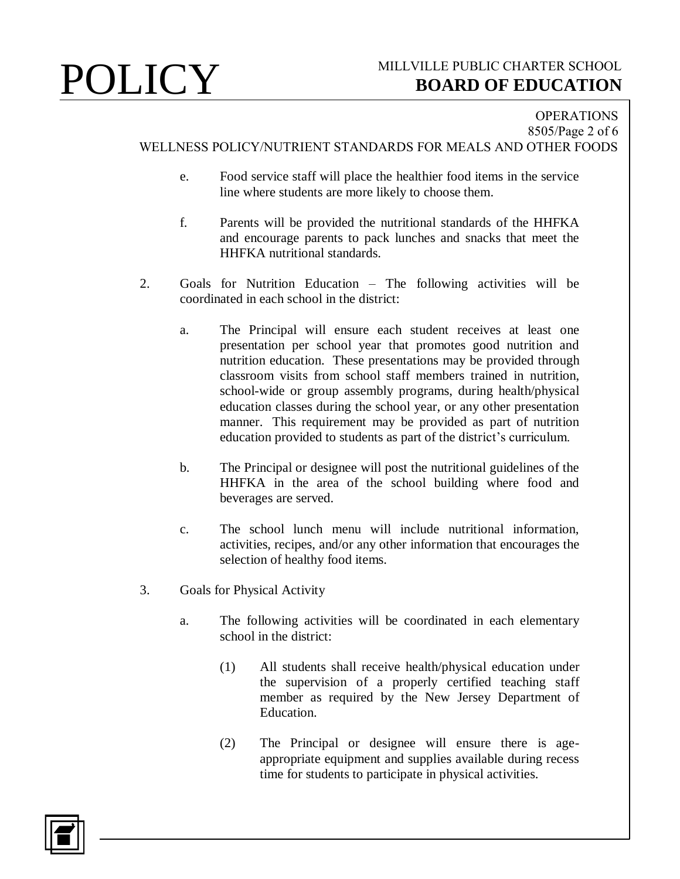## **OPERATIONS** 8505/Page 2 of 6 WELLNESS POLICY/NUTRIENT STANDARDS FOR MEALS AND OTHER FOODS

- e. Food service staff will place the healthier food items in the service line where students are more likely to choose them.
- f. Parents will be provided the nutritional standards of the HHFKA and encourage parents to pack lunches and snacks that meet the HHFKA nutritional standards.
- 2. Goals for Nutrition Education The following activities will be coordinated in each school in the district:
	- a. The Principal will ensure each student receives at least one presentation per school year that promotes good nutrition and nutrition education. These presentations may be provided through classroom visits from school staff members trained in nutrition, school-wide or group assembly programs, during health/physical education classes during the school year, or any other presentation manner. This requirement may be provided as part of nutrition education provided to students as part of the district's curriculum.
	- b. The Principal or designee will post the nutritional guidelines of the HHFKA in the area of the school building where food and beverages are served.
	- c. The school lunch menu will include nutritional information, activities, recipes, and/or any other information that encourages the selection of healthy food items.
- 3. Goals for Physical Activity
	- a. The following activities will be coordinated in each elementary school in the district:
		- (1) All students shall receive health/physical education under the supervision of a properly certified teaching staff member as required by the New Jersey Department of Education.
		- (2) The Principal or designee will ensure there is ageappropriate equipment and supplies available during recess time for students to participate in physical activities.

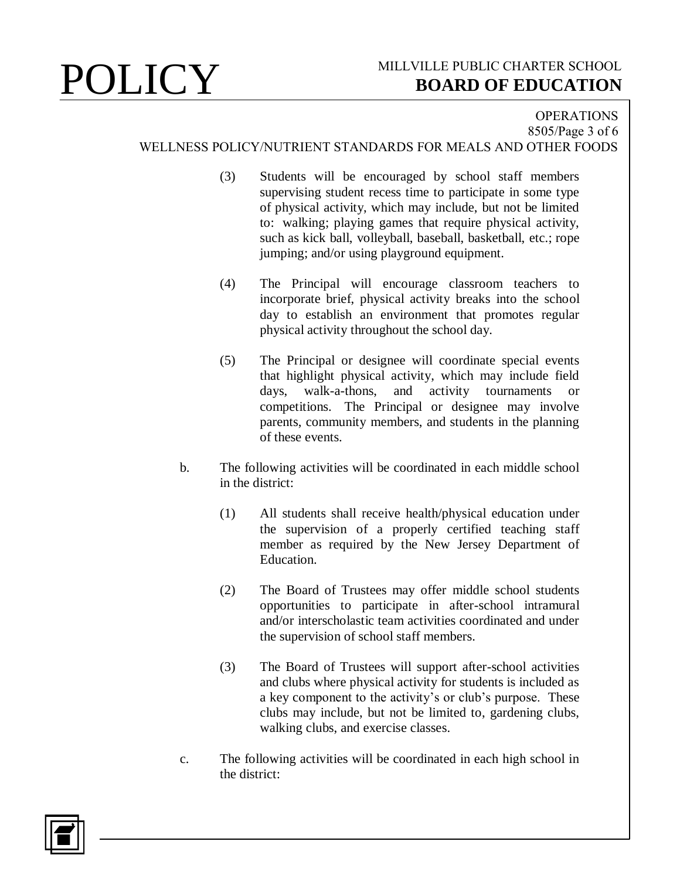## **OPERATIONS** 8505/Page 3 of 6 WELLNESS POLICY/NUTRIENT STANDARDS FOR MEALS AND OTHER FOODS

- (3) Students will be encouraged by school staff members supervising student recess time to participate in some type of physical activity, which may include, but not be limited to: walking; playing games that require physical activity, such as kick ball, volleyball, baseball, basketball, etc.; rope jumping; and/or using playground equipment.
- (4) The Principal will encourage classroom teachers to incorporate brief, physical activity breaks into the school day to establish an environment that promotes regular physical activity throughout the school day.
- (5) The Principal or designee will coordinate special events that highlight physical activity, which may include field days, walk-a-thons, and activity tournaments or competitions. The Principal or designee may involve parents, community members, and students in the planning of these events.
- b. The following activities will be coordinated in each middle school in the district:
	- (1) All students shall receive health/physical education under the supervision of a properly certified teaching staff member as required by the New Jersey Department of Education.
	- (2) The Board of Trustees may offer middle school students opportunities to participate in after-school intramural and/or interscholastic team activities coordinated and under the supervision of school staff members.
	- (3) The Board of Trustees will support after-school activities and clubs where physical activity for students is included as a key component to the activity's or club's purpose. These clubs may include, but not be limited to, gardening clubs, walking clubs, and exercise classes.
- c. The following activities will be coordinated in each high school in the district:

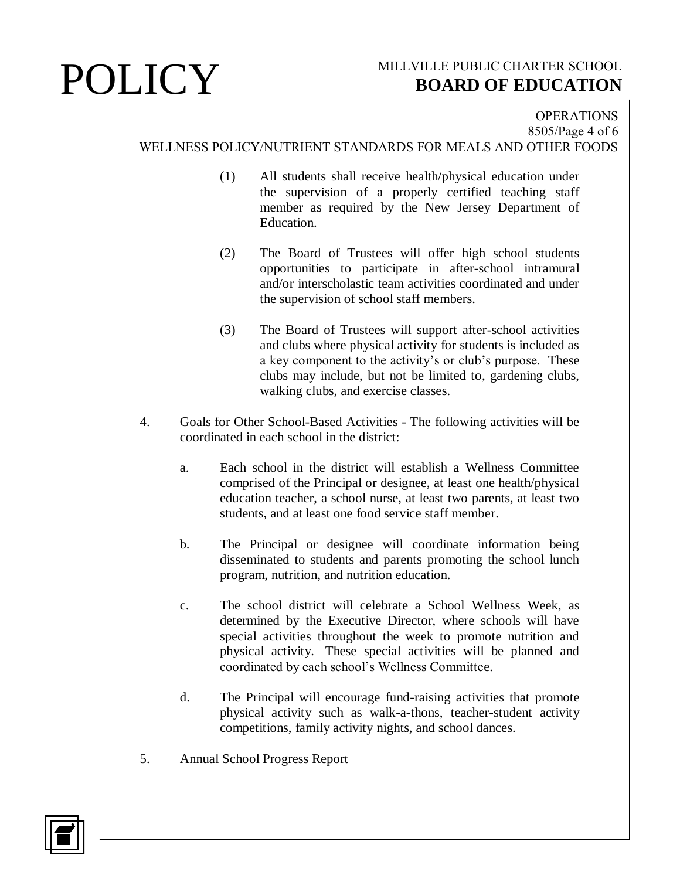## **OPERATIONS** 8505/Page 4 of 6 WELLNESS POLICY/NUTRIENT STANDARDS FOR MEALS AND OTHER FOODS

- (1) All students shall receive health/physical education under the supervision of a properly certified teaching staff member as required by the New Jersey Department of Education.
- (2) The Board of Trustees will offer high school students opportunities to participate in after-school intramural and/or interscholastic team activities coordinated and under the supervision of school staff members.
- (3) The Board of Trustees will support after-school activities and clubs where physical activity for students is included as a key component to the activity's or club's purpose. These clubs may include, but not be limited to, gardening clubs, walking clubs, and exercise classes.
- 4. Goals for Other School-Based Activities The following activities will be coordinated in each school in the district:
	- a. Each school in the district will establish a Wellness Committee comprised of the Principal or designee, at least one health/physical education teacher, a school nurse, at least two parents, at least two students, and at least one food service staff member.
	- b. The Principal or designee will coordinate information being disseminated to students and parents promoting the school lunch program, nutrition, and nutrition education.
	- c. The school district will celebrate a School Wellness Week, as determined by the Executive Director, where schools will have special activities throughout the week to promote nutrition and physical activity. These special activities will be planned and coordinated by each school's Wellness Committee.
	- d. The Principal will encourage fund-raising activities that promote physical activity such as walk-a-thons, teacher-student activity competitions, family activity nights, and school dances.
- 5. Annual School Progress Report

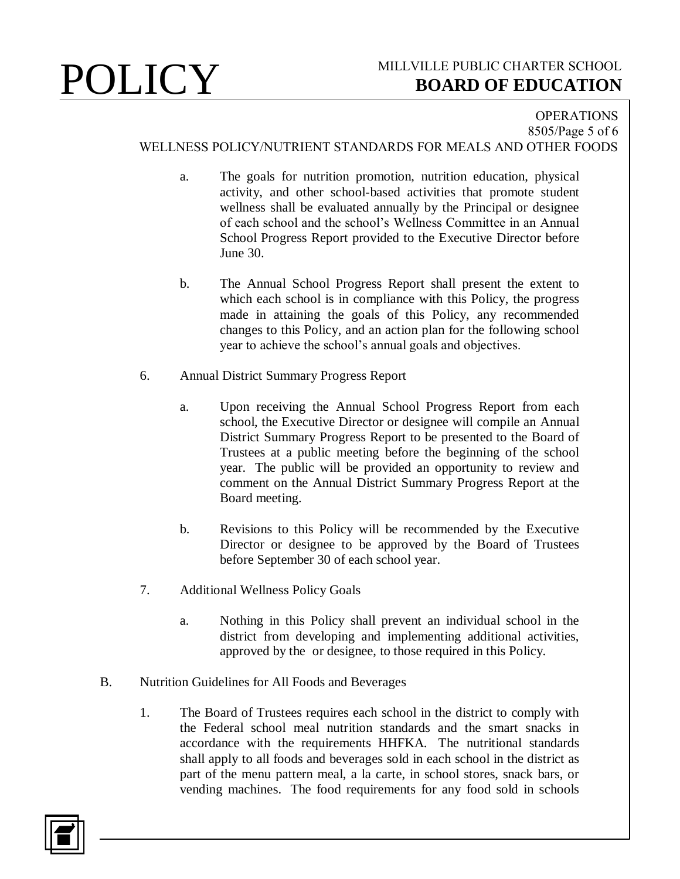### **OPERATIONS** 8505/Page 5 of 6 WELLNESS POLICY/NUTRIENT STANDARDS FOR MEALS AND OTHER FOODS

- a. The goals for nutrition promotion, nutrition education, physical activity, and other school-based activities that promote student wellness shall be evaluated annually by the Principal or designee of each school and the school's Wellness Committee in an Annual School Progress Report provided to the Executive Director before June 30.
- b. The Annual School Progress Report shall present the extent to which each school is in compliance with this Policy, the progress made in attaining the goals of this Policy, any recommended changes to this Policy, and an action plan for the following school year to achieve the school's annual goals and objectives.
- 6. Annual District Summary Progress Report
	- a. Upon receiving the Annual School Progress Report from each school, the Executive Director or designee will compile an Annual District Summary Progress Report to be presented to the Board of Trustees at a public meeting before the beginning of the school year. The public will be provided an opportunity to review and comment on the Annual District Summary Progress Report at the Board meeting.
	- b. Revisions to this Policy will be recommended by the Executive Director or designee to be approved by the Board of Trustees before September 30 of each school year.
- 7. Additional Wellness Policy Goals
	- a. Nothing in this Policy shall prevent an individual school in the district from developing and implementing additional activities, approved by the or designee, to those required in this Policy.
- B. Nutrition Guidelines for All Foods and Beverages
	- 1. The Board of Trustees requires each school in the district to comply with the Federal school meal nutrition standards and the smart snacks in accordance with the requirements HHFKA. The nutritional standards shall apply to all foods and beverages sold in each school in the district as part of the menu pattern meal, a la carte, in school stores, snack bars, or vending machines. The food requirements for any food sold in schools